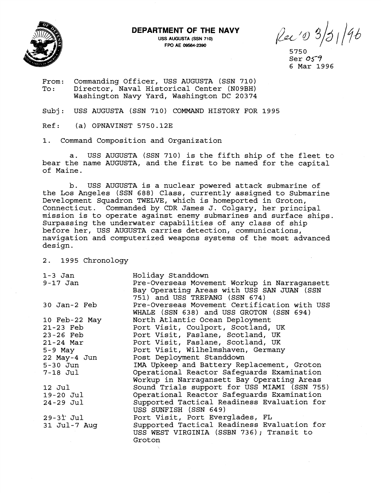

## **DEPARTMENT OF THE NAVY**

**USS AUGUSTA (SSN 710) FPO AE 09564-2390** 

Rec 10 3/31/96

5750 Ser **05-5'**  6 Mar 1996

From: Commanding Officer, USS AUGUSTA (SSN 710)<br>To: Director, Naval Historical Center (N09BH) Director, Naval Historical Center (N09BH) Washington Navy Yard, Washington DC 20374

Subj: USS AUGUSTA (SSN 710) COMMAND HISTORY FOR 1995

 $Ref:$  (a) OPNAVINST 5750.12E

1. Command Composition and Organization

a. USS AUGUSTA (SSN 710) is the fifth ship of the fleet to bear the name AUGUSTA, and the first to be named for the capital of Maine.

b. USS AUGUSTA is a nuclear powered attack submarine of the Los Angeles (SSN 688) Class, currently assigned to Submarine Development Squadron TWELVE, which is homeported in Groton, Connecticut. Commanded by CDR James J. Colgary, her principal mission is to operate against enemy submarines and surface ships. Surpassing the underwater capabilities of any class of ship before her, USS AUGUSTA carries detection, communications, navigation and computerized weapons systems of the most advanced design.

2. 1995 Chronology

Holiday Standdown 1-3 Jan 9-17 Jan Pre-Overseas Movement Workup in Narragansett Bay Operating Areas with USS SAN JUAN (SSN 751) and USS TREPANG (SSN 674) 30 Jan-2 Feb Pre-Overseas Movement Certification with USS WHALE (SSN 638) and USS GROTON (SSN 694) 10 Feb-22 May North Atlantic Ocean Deployment 21-23 Feb Port Visit, Coulport, Scotland, UK Port Visit, Faslane, Scotland, UK 23-26 Feb Port Visit, Faslane, Scotland, UK 21-24 Mar Port Visit, Wilhelmshaven, Germany 5-9 May 22 May-4 Jun Post Deployment Standdown IMA Upkeep and Battery Replacement, Groton 5-30 Jun Operational Reactor Safeguards Examination  $7-18$  Jul Workup in Narragansett Bay Operating Areas 12 Jul Sound Trials support for USS MIAMI (SSN 755) Operational Reactor Safeguards Examination  $19-20$  Jul Supported Tactical Readiness Evaluation for  $24-29$  Jul USS SUNFISH (SSN 649) Port Visit, Port Everglades, FL  $29-31$  Jul Supported Tactical Readiness Evaluation for 31 Jul-7 Aug USS WEST VIRGINIA (SSBN 736); Transit to Groton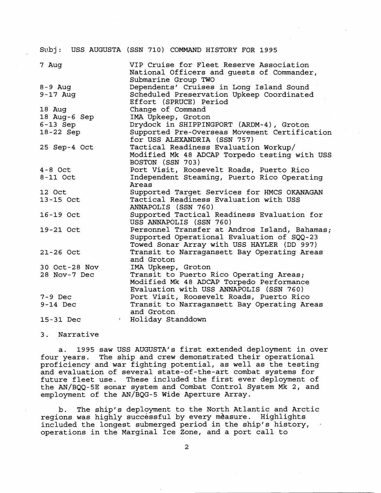|                           | Subj: USS AUGUSTA (SSN 710) COMMAND HISTORY FOR 1995                                                                                      |
|---------------------------|-------------------------------------------------------------------------------------------------------------------------------------------|
| 7 Aug                     | VIP Cruise for Fleet Reserve Association<br>National Officers and guests of Commander,<br>Submarine Group TWO                             |
| $8 - 9$ Aug<br>$9-17$ Aug | Dependents' Cruises in Long Island Sound<br>Scheduled Preservation Upkeep Coordinated<br>Effort (SPRUCE) Period                           |
| 18 Aug                    | Change of Command                                                                                                                         |
| 18 Aug-6 Sep              | IMA Upkeep, Groton                                                                                                                        |
| $6-13$ Sep<br>18-22 Sep   | Drydock in SHIPPINGPORT (ARDM-4), Groton<br>Supported Pre-Overseas Movement Certification<br>for USS ALEXANDRIA (SSN 757)                 |
| 25 Sep-4 Oct              | Tactical Readiness Evaluation Workup/<br>Modified Mk 48 ADCAP Torpedo testing with USS<br>BOSTON (SSN 703)                                |
| $4 - 8$ Oct               | Port Visit, Roosevelt Roads, Puerto Rico                                                                                                  |
| $8-11$ Oct                | Independent Steaming, Puerto Rico Operating<br>Areas                                                                                      |
| 12 Oct                    | Supported Target Services for HMCS OKANAGAN                                                                                               |
| 13-15 Oct                 | Tactical Readiness Evaluation with USS<br>ANNAPOLIS (SSN 760)                                                                             |
| 16-19 Oct                 | Supported Tactical Readiness Evaluation for<br>USS ANNAPOLIS (SSN 760)                                                                    |
| 19-21 Oct                 | Personnel Transfer at Andros Island, Bahamas;<br>Supported Operational Evaluation of SQQ-23<br>Towed Sonar Array with USS HAYLER (DD 997) |
| $21 - 26$ Oct             | Transit to Narragansett Bay Operating Areas<br>and Groton                                                                                 |
| 30 Oct-28 Nov             | IMA Upkeep, Groton                                                                                                                        |
| 28 Nov-7 Dec              | Transit to Puerto Rico Operating Areas;<br>Modified Mk 48 ADCAP Torpedo Performance<br>Evaluation with USS ANNAPOLIS (SSN 760)            |
| $7-9$ Dec                 | Port Visit, Roosevelt Roads, Puerto Rico                                                                                                  |
| $9-14$ Dec                | Transit to Narragansett Bay Operating Areas<br>and Groton                                                                                 |
| 15-31 Dec                 | · Holiday Standdown                                                                                                                       |

3. Narrative

a. 1995 saw USS AUGUSTA'S first extended deployment in over four years. The ship and crew demonstrated their operational proficiency and war fighting potential, as well as the testing and evaluation of several state-of-the-art combat systems for future fleet use. These included the first ever deployment of the AN/BQQ-5E sonar system and Combat Control System Mk 2, and employment of the AN/BQG-5 Wide Aperture Array.

b. The ship's deployment to the North Atlantic and Arctic regions was highly successful by every mèasure. Highlights included the longest submerged period in the ship's history, ...<br>operations in the Marginal Ice Zone, and a port call to